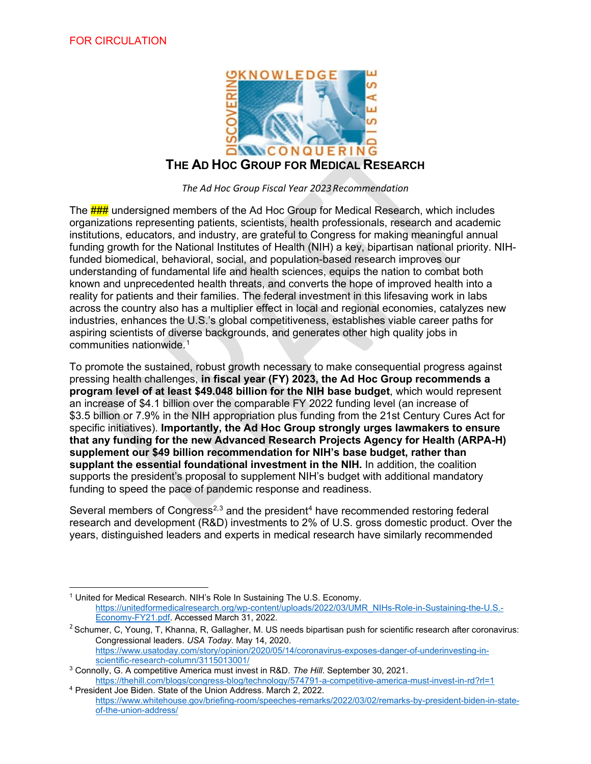

*The Ad Hoc Group Fiscal Year 2023Recommendation*

The **###** undersigned members of the Ad Hoc Group for Medical Research, which includes organizations representing patients, scientists, health professionals, research and academic institutions, educators, and industry, are grateful to Congress for making meaningful annual funding growth for the National Institutes of Health (NIH) a key, bipartisan national priority. NIHfunded biomedical, behavioral, social, and population-based research improves our understanding of fundamental life and health sciences, equips the nation to combat both known and unprecedented health threats, and converts the hope of improved health into a reality for patients and their families. The federal investment in this lifesaving work in labs across the country also has a multiplier effect in local and regional economies, catalyzes new industries, enhances the U.S.'s global competitiveness, establishes viable career paths for aspiring scientists of diverse backgrounds, and generates other high quality jobs in communities nationwide. [1](#page-0-0)

To promote the sustained, robust growth necessary to make consequential progress against pressing health challenges, **in fiscal year (FY) 2023, the Ad Hoc Group recommends a program level of at least \$49.048 billion for the NIH base budget**, which would represent an increase of \$4.1 billion over the comparable FY 2022 funding level (an increase of \$3.5 billion or 7.9% in the NIH appropriation plus funding from the 21st Century Cures Act for specific initiatives). **Importantly, the Ad Hoc Group strongly urges lawmakers to ensure that any funding for the new Advanced Research Projects Agency for Health (ARPA-H) supplement our \$49 billion recommendation for NIH's base budget, rather than supplant the essential foundational investment in the NIH.** In addition, the coalition supports the president's proposal to supplement NIH's budget with additional mandatory funding to speed the pace of pandemic response and readiness.

Several members of Congress<sup>[2,](#page-0-1)[3](#page-0-2)</sup> and the president<sup>[4](#page-0-3)</sup> have recommended restoring federal research and development (R&D) investments to 2% of U.S. gross domestic product. Over the years, distinguished leaders and experts in medical research have similarly recommended

<span id="page-0-0"></span><sup>&</sup>lt;sup>1</sup> United for Medical Research. NIH's Role In Sustaining The U.S. Economy. [https://unitedformedicalresearch.org/wp-content/uploads/2022/03/UMR\\_NIHs-Role-in-Sustaining-the-U.S.-](https://unitedformedicalresearch.org/wp-content/uploads/2022/03/UMR_NIHs-Role-in-Sustaining-the-U.S.-Economy-FY21.pdf) [Economy-FY21.pdf.](https://unitedformedicalresearch.org/wp-content/uploads/2022/03/UMR_NIHs-Role-in-Sustaining-the-U.S.-Economy-FY21.pdf) Accessed March 31, 2022.

<span id="page-0-1"></span><sup>&</sup>lt;sup>2</sup> Schumer, C, Young, T, Khanna, R, Gallagher, M. US needs bipartisan push for scientific research after coronavirus: Congressional leaders. *USA Today*. May 14, 2020. [https://www.usatoday.com/story/opinion/2020/05/14/coronavirus-exposes-danger-of-underinvesting-in](https://www.usatoday.com/story/opinion/2020/05/14/coronavirus-exposes-danger-of-underinvesting-in-scientific-research-column/3115013001/)[scientific-research-column/3115013001/](https://www.usatoday.com/story/opinion/2020/05/14/coronavirus-exposes-danger-of-underinvesting-in-scientific-research-column/3115013001/)

<span id="page-0-2"></span><sup>3</sup> Connolly, G. A competitive America must invest in R&D. *The Hill*. September 30, 2021. <https://thehill.com/blogs/congress-blog/technology/574791-a-competitive-america-must-invest-in-rd?rl=1>

<span id="page-0-3"></span><sup>4</sup> President Joe Biden. State of the Union Address. March 2, 2022. [https://www.whitehouse.gov/briefing-room/speeches-remarks/2022/03/02/remarks-by-president-biden-in-state](https://www.whitehouse.gov/briefing-room/speeches-remarks/2022/03/02/remarks-by-president-biden-in-state-of-the-union-address/)[of-the-union-address/](https://www.whitehouse.gov/briefing-room/speeches-remarks/2022/03/02/remarks-by-president-biden-in-state-of-the-union-address/)